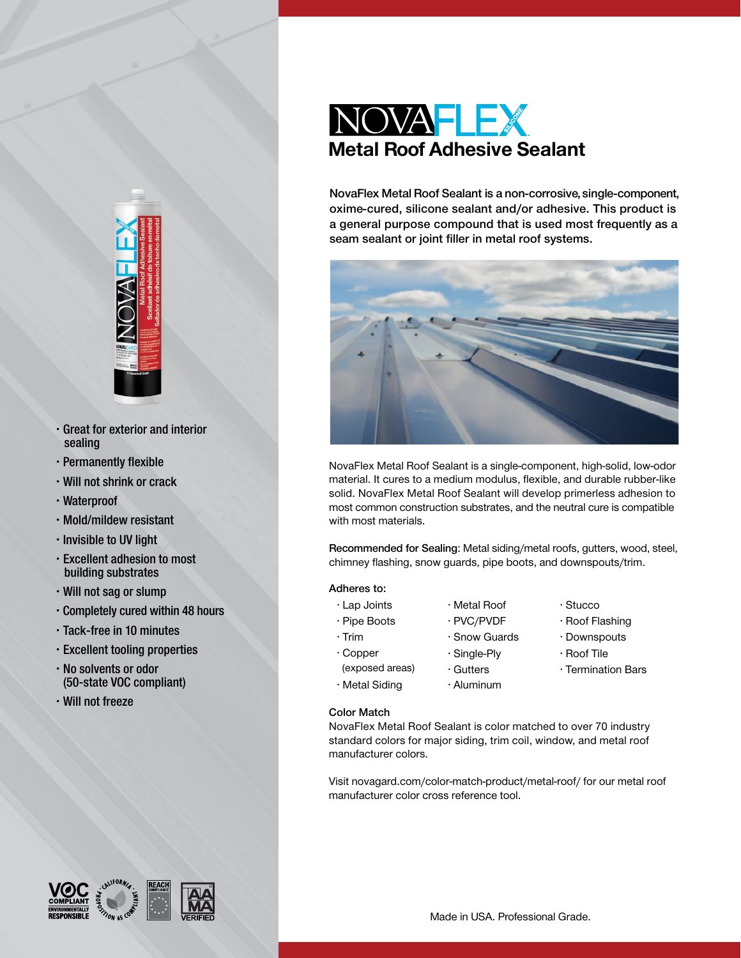

- Great for exterior and interior sealing
- Permanently flexible
- Will not shrink or crack
- Waterproof
- Mold/mildew resistant
- Invisible to UV light
- Excellent adhesion to most building substrates
- Will not sag or slump
- Completely cured within 48 hours
- Tack-free in 10 minutes
- Excellent tooling properties
- No solvents or odor (50-state VOC compliant)
- Will not freeze



NovaFlex Metal Roof Sealant is a non-corrosive, single-component, oxime-cured, silicone sealant and/or adhesive. This product is a general purpose compound that is used most frequently as a seam sealant or joint filler in metal roof systems.



NovaFlex Metal Roof Sealant is a single-component, high-solid, low-odor material. It cures to a medium modulus, flexible, and durable rubber-like solid. NovaFlex Metal Roof Sealant will develop primerless adhesion to most common construction substrates, and the neutral cure is compatible with most materials.

Recommended for Sealing: Metal siding/metal roofs, gutters, wood, steel, chimney flashing, snow guards, pipe boots, and downspouts/trim.

# Adheres to:

- Lap Joints
- Pipe Boots
- Trim • Copper
- Single-Ply
- (exposed areas)
- Gutters • Aluminum

• Metal Roof • PVC/PVDF • Snow Guards

- Stucco
	- Roof Flashing
- Downspouts
- Roof Tile
- Termination Bars

Color Match

• Metal Siding

NovaFlex Metal Roof Sealant is color matched to over 70 industry standard colors for major siding, trim coil, window, and metal roof manufacturer colors.

Visit [novagard.com/color-match-product/metal-roof/](http://novagard.com/color-match-product/metal-roof/) for our metal roof manufacturer color cross reference tool.